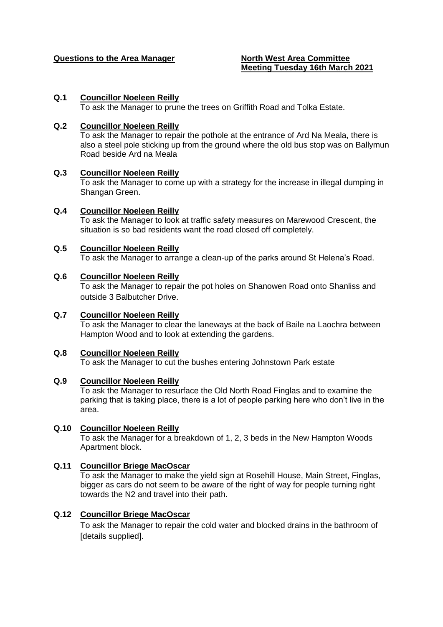#### **Questions to the Area Manager North West Area Committee**

# **Meeting Tuesday 16th March 2021**

#### **Q.1 Councillor Noeleen Reilly**

To ask the Manager to prune the trees on Griffith Road and Tolka Estate.

#### **Q.2 Councillor Noeleen Reilly**

To ask the Manager to repair the pothole at the entrance of Ard Na Meala, there is also a steel pole sticking up from the ground where the old bus stop was on Ballymun Road beside Ard na Meala

#### **Q.3 Councillor Noeleen Reilly**

To ask the Manager to come up with a strategy for the increase in illegal dumping in Shangan Green.

#### **Q.4 Councillor Noeleen Reilly**

To ask the Manager to look at traffic safety measures on Marewood Crescent, the situation is so bad residents want the road closed off completely.

#### **Q.5 Councillor Noeleen Reilly**

To ask the Manager to arrange a clean-up of the parks around St Helena's Road.

#### **Q.6 Councillor Noeleen Reilly**

To ask the Manager to repair the pot holes on Shanowen Road onto Shanliss and outside 3 Balbutcher Drive.

### **Q.7 Councillor Noeleen Reilly**

To ask the Manager to clear the laneways at the back of Baile na Laochra between Hampton Wood and to look at extending the gardens.

#### **Q.8 Councillor Noeleen Reilly**

To ask the Manager to cut the bushes entering Johnstown Park estate

#### **Q.9 Councillor Noeleen Reilly**

To ask the Manager to resurface the Old North Road Finglas and to examine the parking that is taking place, there is a lot of people parking here who don't live in the area.

### **Q.10 Councillor Noeleen Reilly**

To ask the Manager for a breakdown of 1, 2, 3 beds in the New Hampton Woods Apartment block.

### **Q.11 Councillor Briege MacOscar**

To ask the Manager to make the yield sign at Rosehill House, Main Street, Finglas, bigger as cars do not seem to be aware of the right of way for people turning right towards the N2 and travel into their path.

## **Q.12 Councillor Briege MacOscar**

To ask the Manager to repair the cold water and blocked drains in the bathroom of [details supplied].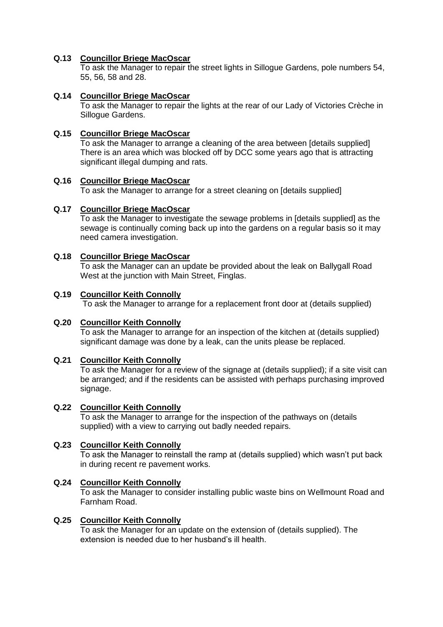## **Q.13 Councillor Briege MacOscar**

To ask the Manager to repair the street lights in Sillogue Gardens, pole numbers 54, 55, 56, 58 and 28.

## **Q.14 Councillor Briege MacOscar**

To ask the Manager to repair the lights at the rear of our Lady of Victories Crèche in Sillogue Gardens.

## **Q.15 Councillor Briege MacOscar**

To ask the Manager to arrange a cleaning of the area between [details supplied] There is an area which was blocked off by DCC some years ago that is attracting significant illegal dumping and rats.

### **Q.16 Councillor Briege MacOscar**

To ask the Manager to arrange for a street cleaning on [details supplied]

## **Q.17 Councillor Briege MacOscar**

To ask the Manager to investigate the sewage problems in [details supplied] as the sewage is continually coming back up into the gardens on a regular basis so it may need camera investigation.

### **Q.18 Councillor Briege MacOscar**

To ask the Manager can an update be provided about the leak on Ballygall Road West at the junction with Main Street, Finglas.

### **Q.19 Councillor Keith Connolly**

To ask the Manager to arrange for a replacement front door at (details supplied)

## **Q.20 Councillor Keith Connolly**

To ask the Manager to arrange for an inspection of the kitchen at (details supplied) significant damage was done by a leak, can the units please be replaced.

### **Q.21 Councillor Keith Connolly**

To ask the Manager for a review of the signage at (details supplied); if a site visit can be arranged; and if the residents can be assisted with perhaps purchasing improved signage.

### **Q.22 Councillor Keith Connolly**

To ask the Manager to arrange for the inspection of the pathways on (details supplied) with a view to carrying out badly needed repairs.

### **Q.23 Councillor Keith Connolly**

To ask the Manager to reinstall the ramp at (details supplied) which wasn't put back in during recent re pavement works.

### **Q.24 Councillor Keith Connolly**

To ask the Manager to consider installing public waste bins on Wellmount Road and Farnham Road.

### **Q.25 Councillor Keith Connolly**

To ask the Manager for an update on the extension of (details supplied). The extension is needed due to her husband's ill health.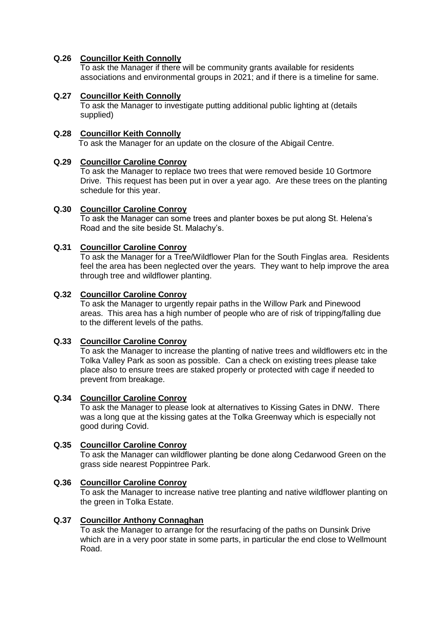## **Q.26 Councillor Keith Connolly**

To ask the Manager if there will be community grants available for residents associations and environmental groups in 2021; and if there is a timeline for same.

### **Q.27 Councillor Keith Connolly**

To ask the Manager to investigate putting additional public lighting at (details supplied)

## **Q.28 Councillor Keith Connolly**

To ask the Manager for an update on the closure of the Abigail Centre.

#### **Q.29 Councillor Caroline Conroy**

To ask the Manager to replace two trees that were removed beside 10 Gortmore Drive. This request has been put in over a year ago. Are these trees on the planting schedule for this year.

#### **Q.30 Councillor Caroline Conroy**

To ask the Manager can some trees and planter boxes be put along St. Helena's Road and the site beside St. Malachy's.

## **Q.31 Councillor Caroline Conroy**

To ask the Manager for a Tree/Wildflower Plan for the South Finglas area. Residents feel the area has been neglected over the years. They want to help improve the area through tree and wildflower planting.

#### **Q.32 Councillor Caroline Conroy**

To ask the Manager to urgently repair paths in the Willow Park and Pinewood areas. This area has a high number of people who are of risk of tripping/falling due to the different levels of the paths.

## **Q.33 Councillor Caroline Conroy**

To ask the Manager to increase the planting of native trees and wildflowers etc in the Tolka Valley Park as soon as possible. Can a check on existing trees please take place also to ensure trees are staked properly or protected with cage if needed to prevent from breakage.

#### **Q.34 Councillor Caroline Conroy**

To ask the Manager to please look at alternatives to Kissing Gates in DNW. There was a long que at the kissing gates at the Tolka Greenway which is especially not good during Covid.

#### **Q.35 Councillor Caroline Conroy**

To ask the Manager can wildflower planting be done along Cedarwood Green on the grass side nearest Poppintree Park.

#### **Q.36 Councillor Caroline Conroy**

To ask the Manager to increase native tree planting and native wildflower planting on the green in Tolka Estate.

#### **Q.37 Councillor Anthony Connaghan**

To ask the Manager to arrange for the resurfacing of the paths on Dunsink Drive which are in a very poor state in some parts, in particular the end close to Wellmount Road.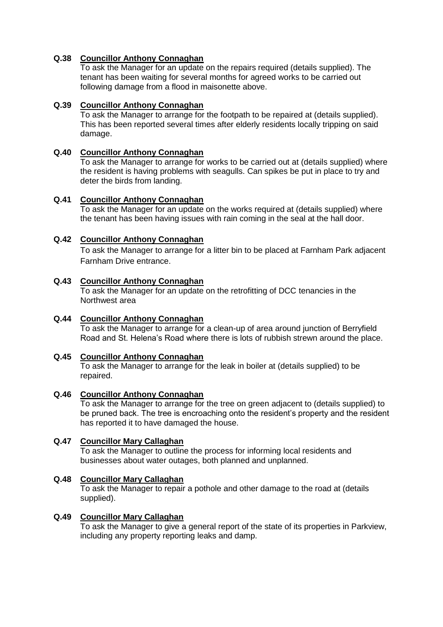## **Q.38 Councillor Anthony Connaghan**

To ask the Manager for an update on the repairs required (details supplied). The tenant has been waiting for several months for agreed works to be carried out following damage from a flood in maisonette above.

## **Q.39 Councillor Anthony Connaghan**

To ask the Manager to arrange for the footpath to be repaired at (details supplied). This has been reported several times after elderly residents locally tripping on said damage.

## **Q.40 Councillor Anthony Connaghan**

To ask the Manager to arrange for works to be carried out at (details supplied) where the resident is having problems with seagulls. Can spikes be put in place to try and deter the birds from landing.

## **Q.41 Councillor Anthony Connaghan**

To ask the Manager for an update on the works required at (details supplied) where the tenant has been having issues with rain coming in the seal at the hall door.

## **Q.42 Councillor Anthony Connaghan**

To ask the Manager to arrange for a litter bin to be placed at Farnham Park adjacent Farnham Drive entrance.

### **Q.43 Councillor Anthony Connaghan**

To ask the Manager for an update on the retrofitting of DCC tenancies in the Northwest area

### **Q.44 Councillor Anthony Connaghan**

To ask the Manager to arrange for a clean-up of area around junction of Berryfield Road and St. Helena's Road where there is lots of rubbish strewn around the place.

### **Q.45 Councillor Anthony Connaghan**

To ask the Manager to arrange for the leak in boiler at (details supplied) to be repaired.

### **Q.46 Councillor Anthony Connaghan**

To ask the Manager to arrange for the tree on green adjacent to (details supplied) to be pruned back. The tree is encroaching onto the resident's property and the resident has reported it to have damaged the house.

## **Q.47 Councillor Mary Callaghan**

To ask the Manager to outline the process for informing local residents and businesses about water outages, both planned and unplanned.

### **Q.48 Councillor Mary Callaghan**

To ask the Manager to repair a pothole and other damage to the road at (details supplied).

### **Q.49 Councillor Mary Callaghan**

To ask the Manager to give a general report of the state of its properties in Parkview, including any property reporting leaks and damp.